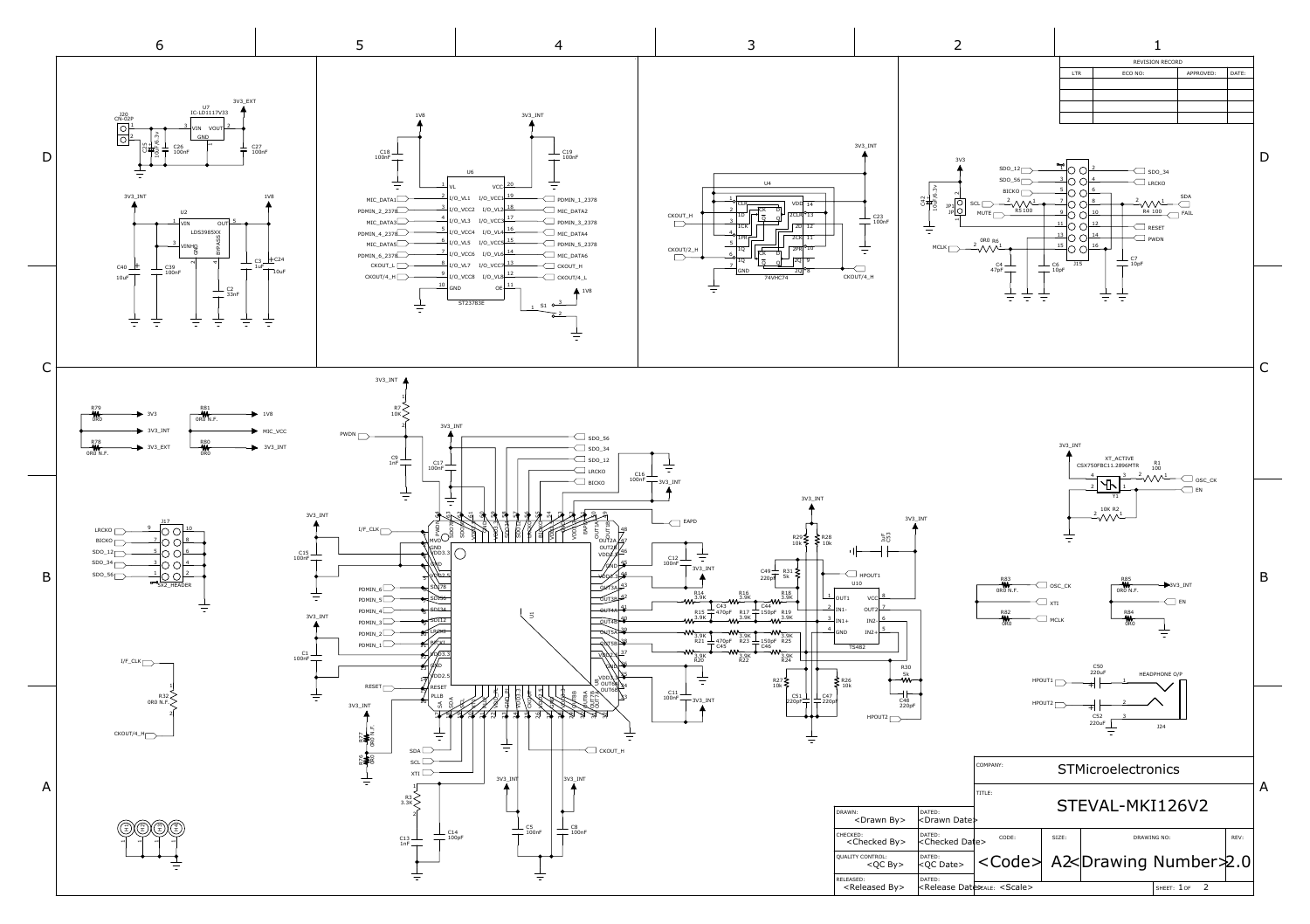<span id="page-0-0"></span>